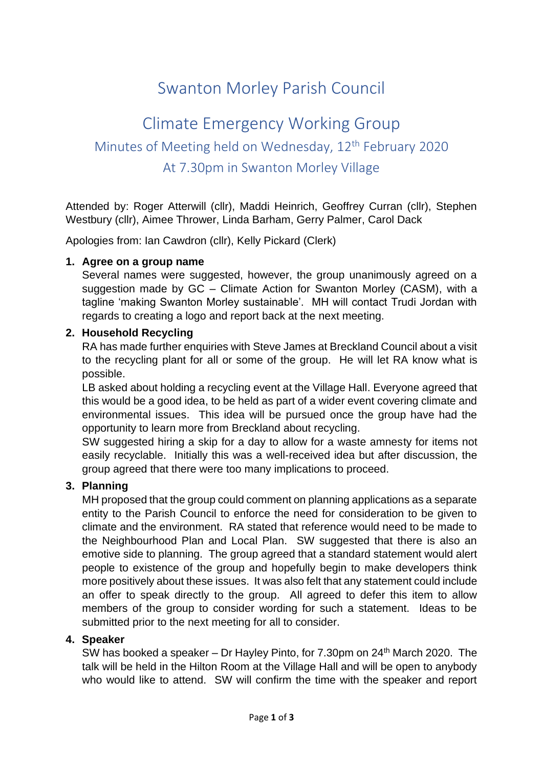# Swanton Morley Parish Council

# Climate Emergency Working Group Minutes of Meeting held on Wednesday, 12<sup>th</sup> February 2020 At 7.30pm in Swanton Morley Village

Attended by: Roger Atterwill (cllr), Maddi Heinrich, Geoffrey Curran (cllr), Stephen Westbury (cllr), Aimee Thrower, Linda Barham, Gerry Palmer, Carol Dack

Apologies from: Ian Cawdron (cllr), Kelly Pickard (Clerk)

## **1. Agree on a group name**

Several names were suggested, however, the group unanimously agreed on a suggestion made by GC – Climate Action for Swanton Morley (CASM), with a tagline 'making Swanton Morley sustainable'. MH will contact Trudi Jordan with regards to creating a logo and report back at the next meeting.

#### **2. Household Recycling**

RA has made further enquiries with Steve James at Breckland Council about a visit to the recycling plant for all or some of the group. He will let RA know what is possible.

LB asked about holding a recycling event at the Village Hall. Everyone agreed that this would be a good idea, to be held as part of a wider event covering climate and environmental issues. This idea will be pursued once the group have had the opportunity to learn more from Breckland about recycling.

SW suggested hiring a skip for a day to allow for a waste amnesty for items not easily recyclable. Initially this was a well-received idea but after discussion, the group agreed that there were too many implications to proceed.

## **3. Planning**

MH proposed that the group could comment on planning applications as a separate entity to the Parish Council to enforce the need for consideration to be given to climate and the environment. RA stated that reference would need to be made to the Neighbourhood Plan and Local Plan. SW suggested that there is also an emotive side to planning. The group agreed that a standard statement would alert people to existence of the group and hopefully begin to make developers think more positively about these issues. It was also felt that any statement could include an offer to speak directly to the group. All agreed to defer this item to allow members of the group to consider wording for such a statement. Ideas to be submitted prior to the next meeting for all to consider.

## **4. Speaker**

SW has booked a speaker – Dr Hayley Pinto, for 7.30pm on 24<sup>th</sup> March 2020. The talk will be held in the Hilton Room at the Village Hall and will be open to anybody who would like to attend. SW will confirm the time with the speaker and report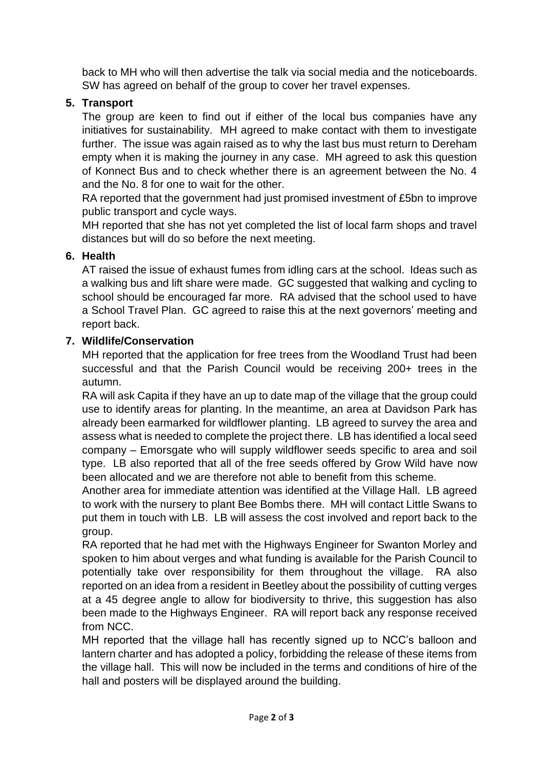back to MH who will then advertise the talk via social media and the noticeboards. SW has agreed on behalf of the group to cover her travel expenses.

## **5. Transport**

The group are keen to find out if either of the local bus companies have any initiatives for sustainability. MH agreed to make contact with them to investigate further. The issue was again raised as to why the last bus must return to Dereham empty when it is making the journey in any case. MH agreed to ask this question of Konnect Bus and to check whether there is an agreement between the No. 4 and the No. 8 for one to wait for the other.

RA reported that the government had just promised investment of £5bn to improve public transport and cycle ways.

MH reported that she has not yet completed the list of local farm shops and travel distances but will do so before the next meeting.

## **6. Health**

AT raised the issue of exhaust fumes from idling cars at the school. Ideas such as a walking bus and lift share were made. GC suggested that walking and cycling to school should be encouraged far more. RA advised that the school used to have a School Travel Plan. GC agreed to raise this at the next governors' meeting and report back.

## **7. Wildlife/Conservation**

MH reported that the application for free trees from the Woodland Trust had been successful and that the Parish Council would be receiving 200+ trees in the autumn.

RA will ask Capita if they have an up to date map of the village that the group could use to identify areas for planting. In the meantime, an area at Davidson Park has already been earmarked for wildflower planting. LB agreed to survey the area and assess what is needed to complete the project there. LB has identified a local seed company – Emorsgate who will supply wildflower seeds specific to area and soil type. LB also reported that all of the free seeds offered by Grow Wild have now been allocated and we are therefore not able to benefit from this scheme.

Another area for immediate attention was identified at the Village Hall. LB agreed to work with the nursery to plant Bee Bombs there. MH will contact Little Swans to put them in touch with LB. LB will assess the cost involved and report back to the group.

RA reported that he had met with the Highways Engineer for Swanton Morley and spoken to him about verges and what funding is available for the Parish Council to potentially take over responsibility for them throughout the village. RA also reported on an idea from a resident in Beetley about the possibility of cutting verges at a 45 degree angle to allow for biodiversity to thrive, this suggestion has also been made to the Highways Engineer. RA will report back any response received from NCC.

MH reported that the village hall has recently signed up to NCC's balloon and lantern charter and has adopted a policy, forbidding the release of these items from the village hall. This will now be included in the terms and conditions of hire of the hall and posters will be displayed around the building.